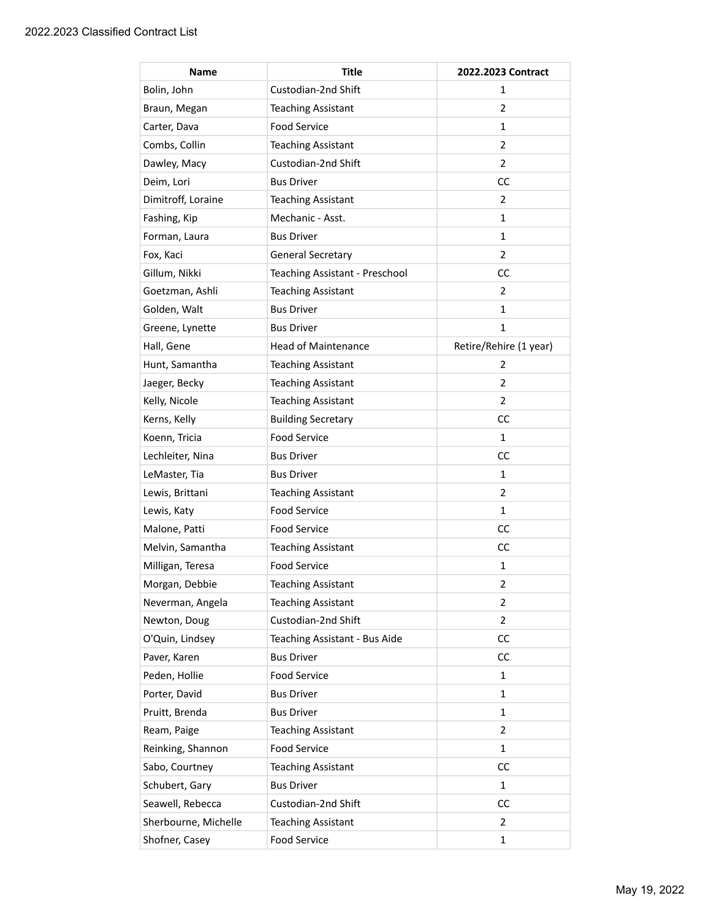| <b>Name</b>          | Title                          | 2022.2023 Contract     |
|----------------------|--------------------------------|------------------------|
| Bolin, John          | Custodian-2nd Shift            | 1                      |
| Braun, Megan         | <b>Teaching Assistant</b>      | $\overline{2}$         |
| Carter, Dava         | <b>Food Service</b>            | 1                      |
| Combs, Collin        | <b>Teaching Assistant</b>      | $\overline{2}$         |
| Dawley, Macy         | Custodian-2nd Shift            | $\overline{2}$         |
| Deim, Lori           | <b>Bus Driver</b>              | <b>CC</b>              |
| Dimitroff, Loraine   | <b>Teaching Assistant</b>      | $\overline{2}$         |
| Fashing, Kip         | Mechanic - Asst.               | 1                      |
| Forman, Laura        | <b>Bus Driver</b>              | 1                      |
| Fox, Kaci            | <b>General Secretary</b>       | 2                      |
| Gillum, Nikki        | Teaching Assistant - Preschool | <b>CC</b>              |
| Goetzman, Ashli      | <b>Teaching Assistant</b>      | 2                      |
| Golden, Walt         | <b>Bus Driver</b>              | 1                      |
| Greene, Lynette      | <b>Bus Driver</b>              | 1                      |
| Hall, Gene           | <b>Head of Maintenance</b>     | Retire/Rehire (1 year) |
| Hunt, Samantha       | <b>Teaching Assistant</b>      | 2                      |
| Jaeger, Becky        | <b>Teaching Assistant</b>      | 2                      |
| Kelly, Nicole        | <b>Teaching Assistant</b>      | $\overline{2}$         |
| Kerns, Kelly         | <b>Building Secretary</b>      | <b>CC</b>              |
| Koenn, Tricia        | <b>Food Service</b>            | $\mathbf{1}$           |
| Lechleiter, Nina     | <b>Bus Driver</b>              | CC                     |
| LeMaster, Tia        | <b>Bus Driver</b>              | 1                      |
| Lewis, Brittani      | <b>Teaching Assistant</b>      | $\overline{2}$         |
| Lewis, Katy          | <b>Food Service</b>            | 1                      |
| Malone, Patti        | <b>Food Service</b>            | <b>CC</b>              |
| Melvin, Samantha     | <b>Teaching Assistant</b>      | <b>CC</b>              |
| Milligan, Teresa     | <b>Food Service</b>            | 1                      |
| Morgan, Debbie       | <b>Teaching Assistant</b>      | 2                      |
| Neverman, Angela     | <b>Teaching Assistant</b>      | 2                      |
| Newton, Doug         | Custodian-2nd Shift            | $\overline{2}$         |
| O'Quin, Lindsey      | Teaching Assistant - Bus Aide  | cc                     |
| Paver, Karen         | <b>Bus Driver</b>              | <b>CC</b>              |
| Peden, Hollie        | <b>Food Service</b>            | 1                      |
| Porter, David        | <b>Bus Driver</b>              | 1                      |
| Pruitt, Brenda       | <b>Bus Driver</b>              | 1                      |
| Ream, Paige          | <b>Teaching Assistant</b>      | $\overline{2}$         |
| Reinking, Shannon    | <b>Food Service</b>            | 1                      |
| Sabo, Courtney       | <b>Teaching Assistant</b>      | <b>CC</b>              |
| Schubert, Gary       | <b>Bus Driver</b>              | 1                      |
| Seawell, Rebecca     | Custodian-2nd Shift            | CC                     |
| Sherbourne, Michelle | <b>Teaching Assistant</b>      | $\overline{2}$         |
| Shofner, Casey       | Food Service                   | 1                      |